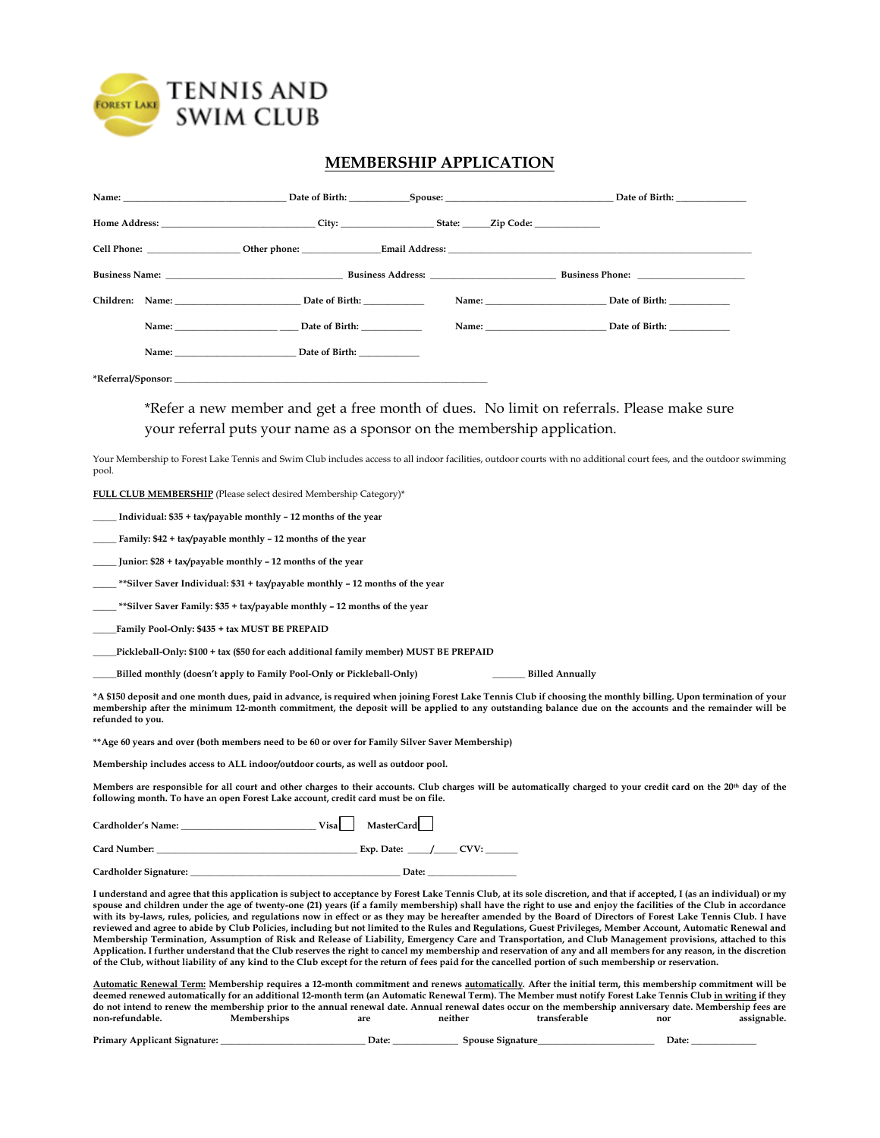

# **MEMBERSHIP APPLICATION**

|                                                    | Name: Date of Birth: Spouse: Spouse: Date of Birth: Spouse: Date of Birth: |
|----------------------------------------------------|----------------------------------------------------------------------------|
|                                                    |                                                                            |
| Cell Phone: Cell Phone: Cher phone: Email Address: |                                                                            |
|                                                    | <b>Business Phone:</b>                                                     |
| Children: Name: Date of Birth:                     | Name: Date of Birth:                                                       |
| Name: Date of Birth:                               | Name: Date of Birth:                                                       |
| Name: Date of Birth:                               |                                                                            |

**\*Referral/Sponsor: \_\_\_\_\_\_\_\_\_\_\_\_\_\_\_\_\_\_\_\_\_\_\_\_\_\_\_\_\_\_\_\_\_\_\_\_\_\_\_\_\_\_\_\_\_\_\_\_\_\_\_\_\_\_\_\_\_\_\_\_\_\_\_\_\_\_\_**

\*Refer a new member and get a free month of dues. No limit on referrals. Please make sure your referral puts your name as a sponsor on the membership application.

Your Membership to Forest Lake Tennis and Swim Club includes access to all indoor facilities, outdoor courts with no additional court fees, and the outdoor swimming pool.

**FULL CLUB MEMBERSHIP** (Please select desired Membership Category)\*

**\_\_\_\_\_ Individual: \$35 + tax/payable monthly – 12 months of the year** 

**\_\_\_\_\_ Family: \$42 + tax/payable monthly – 12 months of the year**

**\_\_\_\_\_ Junior: \$28 + tax/payable monthly – 12 months of the year**

**\_\_\_\_\_ \*\*Silver Saver Individual: \$31 + tax/payable monthly – 12 months of the year**

**\_\_\_\_\_ \*\*Silver Saver Family: \$35 + tax/payable monthly – 12 months of the year**

**\_\_\_\_\_Family Pool-Only: \$435 + tax MUST BE PREPAID**

**\_\_\_\_\_Pickleball-Only: \$100 + tax (\$50 for each additional family member) MUST BE PREPAID**

**\_\_\_\_\_Billed monthly (doesn't apply to Family Pool-Only or Pickleball-Only) \_\_\_\_\_\_\_ Billed Annually**

**\*A \$150 deposit and one month dues, paid in advance, is required when joining Forest Lake Tennis Club if choosing the monthly billing. Upon termination of your membership after the minimum 12-month commitment, the deposit will be applied to any outstanding balance due on the accounts and the remainder will be refunded to you.** 

**\*\*Age 60 years and over (both members need to be 60 or over for Family Silver Saver Membership)**

**Membership includes access to ALL indoor/outdoor courts, as well as outdoor pool.**

**Members are responsible for all court and other charges to their accounts. Club charges will be automatically charged to your credit card on the 20th day of the following month. To have an open Forest Lake account, credit card must be on file.**

| Cardholder's Name:    | Visa MasterCard                |  |  |
|-----------------------|--------------------------------|--|--|
| Card Number:          | $Exp.$ Date: $\qquad$ / $CVV:$ |  |  |
| Cardholder Signature: | Date:                          |  |  |

**I understand and agree that this application is subject to acceptance by Forest Lake Tennis Club, at its sole discretion, and that if accepted, I (as an individual) or my spouse and children under the age of twenty-one (21) years (if a family membership) shall have the right to use and enjoy the facilities of the Club in accordance with its by-laws, rules, policies, and regulations now in effect or as they may be hereafter amended by the Board of Directors of Forest Lake Tennis Club. I have reviewed and agree to abide by Club Policies, including but not limited to the Rules and Regulations, Guest Privileges, Member Account, Automatic Renewal and Membership Termination, Assumption of Risk and Release of Liability, Emergency Care and Transportation, and Club Management provisions, attached to this Application. I further understand that the Club reserves the right to cancel my membership and reservation of any and all members for any reason, in the discretion of the Club, without liability of any kind to the Club except for the return of fees paid for the cancelled portion of such membership or reservation.**

**Automatic Renewal Term: Membership requires a 12-month commitment and renews automatically***.* **After the initial term, this membership commitment will be deemed renewed automatically for an additional 12-month term (an Automatic Renewal Term). The Member must notify Forest Lake Tennis Club in writing if they do not intend to renew the membership prior to the annual renewal date. Annual renewal dates occur on the membership anniversary date. Membership fees are non-refundable. Memberships are neither transferable nor assignable.** 

| Primary<br>-107<br>Annucant<br>$\sim$ $\sim$ $\sim$ $\sim$ | . Jater |  | Date <sup>-</sup> |  |
|------------------------------------------------------------|---------|--|-------------------|--|
|                                                            |         |  |                   |  |